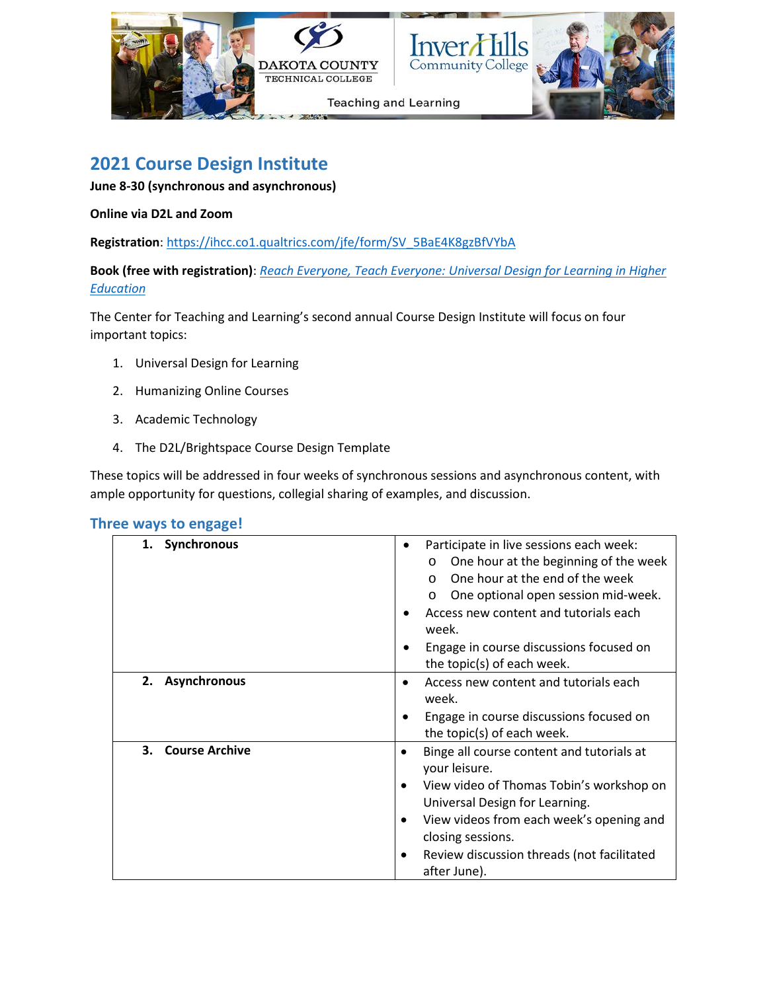

# **2021 Course Design Institute**

**June 8-30 (synchronous and asynchronous)**

#### **Online via D2L and Zoom**

**Registration**: [https://ihcc.co1.qualtrics.com/jfe/form/SV\\_5BaE4K8gzBfVYbA](https://ihcc.co1.qualtrics.com/jfe/form/SV_5BaE4K8gzBfVYbA)

**Book (free with registration)**: *[Reach Everyone, Teach Everyone: Universal Design for Learning in Higher](https://wvupressonline.com/node/757)  [Education](https://wvupressonline.com/node/757)*

The Center for Teaching and Learning's second annual Course Design Institute will focus on four important topics:

- 1. Universal Design for Learning
- 2. Humanizing Online Courses
- 3. Academic Technology
- 4. The D2L/Brightspace Course Design Template

These topics will be addressed in four weeks of synchronous sessions and asynchronous content, with ample opportunity for questions, collegial sharing of examples, and discussion.

| Three ways to engage! |  |  |
|-----------------------|--|--|
|-----------------------|--|--|

| 1. Synchronous              | Participate in live sessions each week:<br>One hour at the beginning of the week<br>O<br>One hour at the end of the week<br>$\Omega$<br>One optional open session mid-week.<br>O<br>Access new content and tutorials each<br>week.                                                                             |
|-----------------------------|----------------------------------------------------------------------------------------------------------------------------------------------------------------------------------------------------------------------------------------------------------------------------------------------------------------|
|                             | Engage in course discussions focused on<br>the topic(s) of each week.                                                                                                                                                                                                                                          |
| 2. Asynchronous             | Access new content and tutorials each<br>week.<br>Engage in course discussions focused on<br>the topic(s) of each week.                                                                                                                                                                                        |
| <b>Course Archive</b><br>3. | Binge all course content and tutorials at<br>your leisure.<br>View video of Thomas Tobin's workshop on<br>$\bullet$<br>Universal Design for Learning.<br>View videos from each week's opening and<br>$\bullet$<br>closing sessions.<br>Review discussion threads (not facilitated<br>$\bullet$<br>after June). |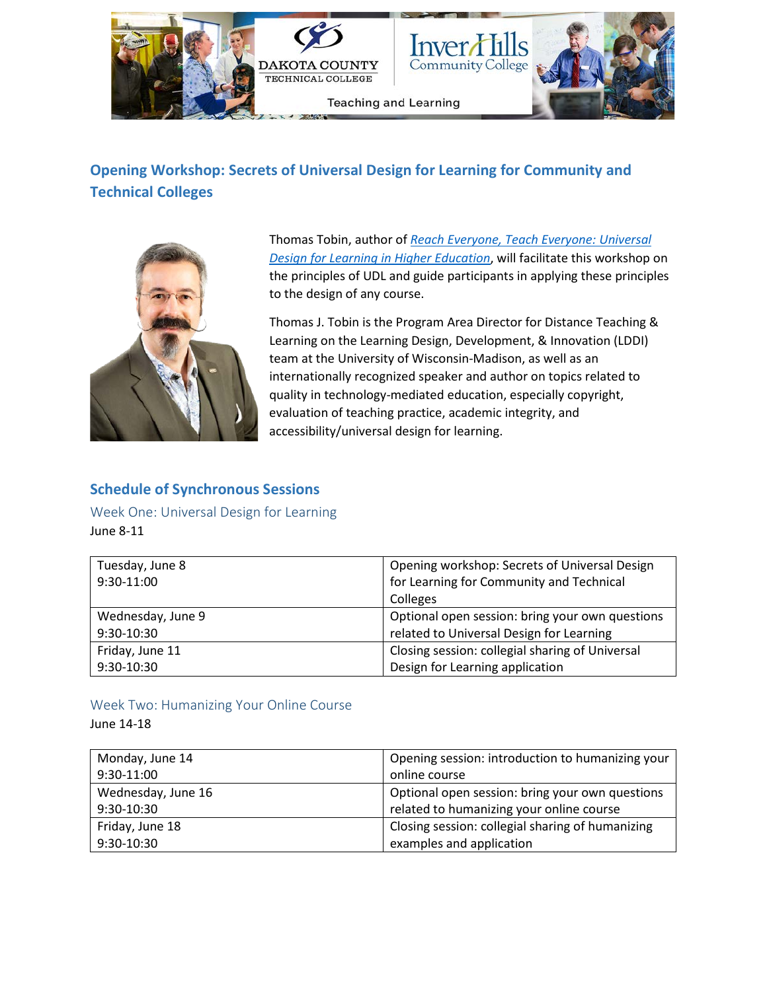

# **Opening Workshop: Secrets of Universal Design for Learning for Community and Technical Colleges**



Thomas Tobin, author of *[Reach Everyone, Teach Everyone: Universal](https://wvupressonline.com/node/757)  [Design for Learning in Higher Education](https://wvupressonline.com/node/757)*, will facilitate this workshop on the principles of UDL and guide participants in applying these principles to the design of any course.

Thomas J. Tobin is the Program Area Director for Distance Teaching & Learning on the Learning Design, Development, & Innovation (LDDI) team at the University of Wisconsin-Madison, as well as an internationally recognized speaker and author on topics related to quality in technology-mediated education, especially copyright, evaluation of teaching practice, academic integrity, and accessibility/universal design for learning.

### **Schedule of Synchronous Sessions**

Week One: Universal Design for Learning June 8-11

| Tuesday, June 8   | Opening workshop: Secrets of Universal Design   |
|-------------------|-------------------------------------------------|
| 9:30-11:00        | for Learning for Community and Technical        |
|                   | Colleges                                        |
| Wednesday, June 9 | Optional open session: bring your own questions |
| 9:30-10:30        | related to Universal Design for Learning        |
| Friday, June 11   | Closing session: collegial sharing of Universal |
| 9:30-10:30        | Design for Learning application                 |

### Week Two: Humanizing Your Online Course

June 14-18

| Monday, June 14    | Opening session: introduction to humanizing your |
|--------------------|--------------------------------------------------|
| 9:30-11:00         | online course                                    |
| Wednesday, June 16 | Optional open session: bring your own questions  |
| 9:30-10:30         | related to humanizing your online course         |
| Friday, June 18    | Closing session: collegial sharing of humanizing |
| 9:30-10:30         | examples and application                         |